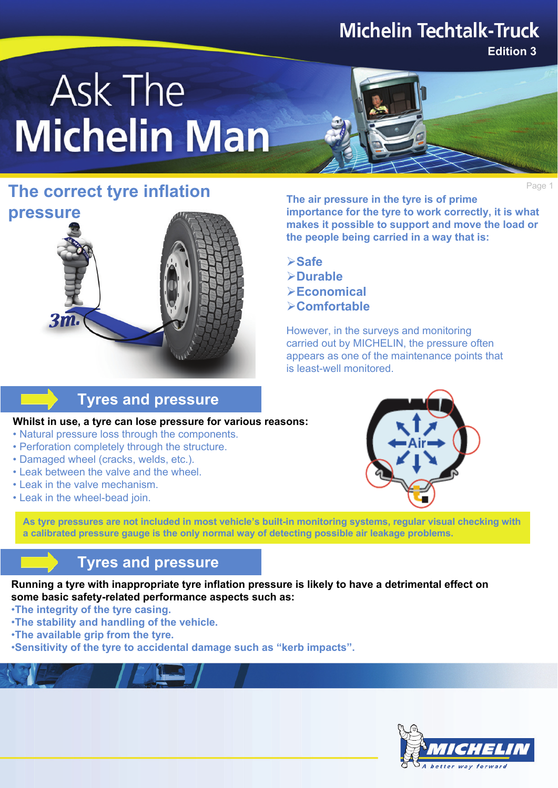# **Michelin Techtalk-Truck**

**Edition 3**

# Ask The **Michelin Man**



## **The correct tyre inflation The cir pressure in the tyre is of prime**

**pressure**

**The air pressure in the tyre is of prime importance for the tyre to work correctly, it is what makes it possible to support and move the load or the people being carried in a way that is:**

¾**Safe** ¾**Durable** ¾**Economical** ¾**Comfortable**

However, in the surveys and monitoring carried out by MICHELIN, the pressure often appears as one of the maintenance points that is least-well monitored.

## **Tyres and pressure**

**Whilst in use, a tyre can lose pressure for various reasons:**

- Natural pressure loss through the components.
- Perforation completely through the structure.
- Damaged wheel (cracks, welds, etc.).
- Leak between the valve and the wheel.
- Leak in the valve mechanism.
- Leak in the wheel-bead join.



**As tyre pressures are not included in most vehicle's built-in monitoring systems, regular visual checking with a calibrated pressure gauge is the only normal way of detecting possible air leakage problems.**

## **Tyres and pressure**

**Running a tyre with inappropriate tyre inflation pressure is likely to have a detrimental effect on some basic safety-related performance aspects such as:**

- •**The integrity of the tyre casing.**
- •**The stability and handling of the vehicle.**
- •**The available grip from the tyre.**
- •**Sensitivity of the tyre to accidental damage such as "kerb impacts".**